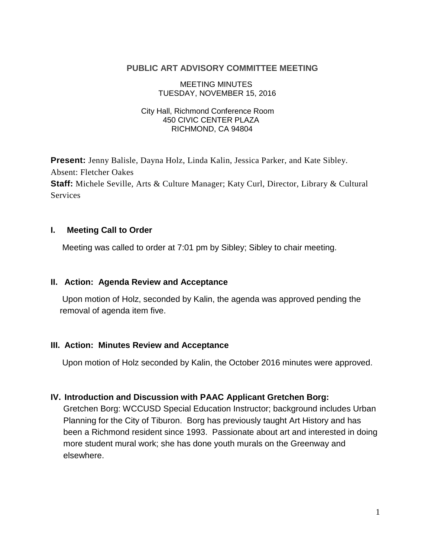#### **PUBLIC ART ADVISORY COMMITTEE MEETING**

 MEETING MINUTES TUESDAY, NOVEMBER 15, 2016

#### City Hall, Richmond Conference Room 450 CIVIC CENTER PLAZA RICHMOND, CA 94804

**Present:** Jenny Balisle, Dayna Holz, Linda Kalin, Jessica Parker, and Kate Sibley. Absent: Fletcher Oakes **Staff:** Michele Seville, Arts & Culture Manager; Katy Curl, Director, Library & Cultural **Services** 

### **I. Meeting Call to Order**

Meeting was called to order at 7:01 pm by Sibley; Sibley to chair meeting.

### **II. Action: Agenda Review and Acceptance**

Upon motion of Holz, seconded by Kalin, the agenda was approved pending the removal of agenda item five.

### **III. Action: Minutes Review and Acceptance**

Upon motion of Holz seconded by Kalin, the October 2016 minutes were approved.

### **IV. Introduction and Discussion with PAAC Applicant Gretchen Borg:**

Gretchen Borg: WCCUSD Special Education Instructor; background includes Urban Planning for the City of Tiburon. Borg has previously taught Art History and has been a Richmond resident since 1993. Passionate about art and interested in doing more student mural work; she has done youth murals on the Greenway and elsewhere.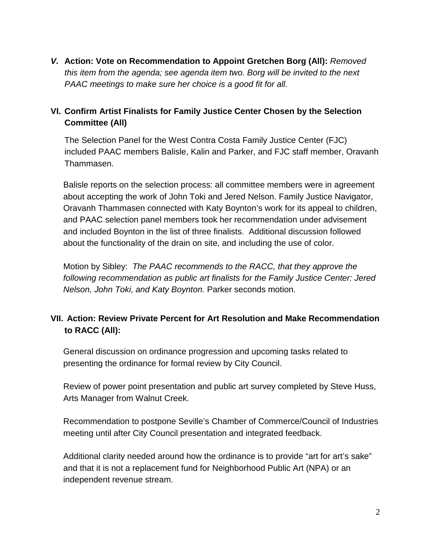*V.* **Action: Vote on Recommendation to Appoint Gretchen Borg (All):** *Removed this item from the agenda; see agenda item two. Borg will be invited to the next PAAC meetings to make sure her choice is a good fit for all.*

## **VI. Confirm Artist Finalists for Family Justice Center Chosen by the Selection Committee (All)**

The Selection Panel for the West Contra Costa Family Justice Center (FJC) included PAAC members Balisle, Kalin and Parker, and FJC staff member, Oravanh Thammasen.

Balisle reports on the selection process: all committee members were in agreement about accepting the work of John Toki and Jered Nelson. Family Justice Navigator, Oravanh Thammasen connected with Katy Boynton's work for its appeal to children, and PAAC selection panel members took her recommendation under advisement and included Boynton in the list of three finalists. Additional discussion followed about the functionality of the drain on site, and including the use of color.

Motion by Sibley: *The PAAC recommends to the RACC, that they approve the following recommendation as public art finalists for the Family Justice Center: Jered Nelson, John Toki, and Katy Boynton.* Parker seconds motion.

# **VII. Action: Review Private Percent for Art Resolution and Make Recommendation to RACC (All):**

General discussion on ordinance progression and upcoming tasks related to presenting the ordinance for formal review by City Council.

Review of power point presentation and public art survey completed by Steve Huss, Arts Manager from Walnut Creek.

Recommendation to postpone Seville's Chamber of Commerce/Council of Industries meeting until after City Council presentation and integrated feedback.

Additional clarity needed around how the ordinance is to provide "art for art's sake" and that it is not a replacement fund for Neighborhood Public Art (NPA) or an independent revenue stream.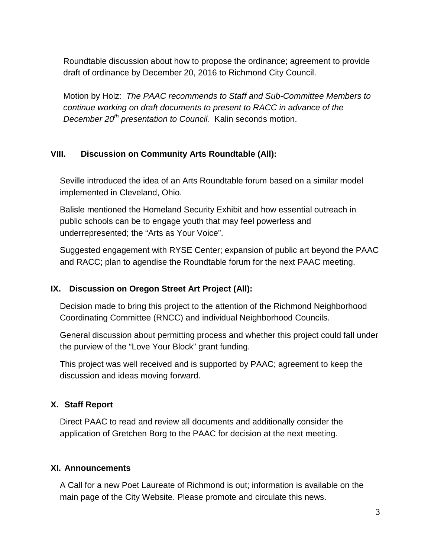Roundtable discussion about how to propose the ordinance; agreement to provide draft of ordinance by December 20, 2016 to Richmond City Council.

Motion by Holz: *The PAAC recommends to Staff and Sub-Committee Members to continue working on draft documents to present to RACC in advance of the December 20th presentation to Council.* Kalin seconds motion.

## **VIII. Discussion on Community Arts Roundtable (All):**

Seville introduced the idea of an Arts Roundtable forum based on a similar model implemented in Cleveland, Ohio.

Balisle mentioned the Homeland Security Exhibit and how essential outreach in public schools can be to engage youth that may feel powerless and underrepresented; the "Arts as Your Voice".

Suggested engagement with RYSE Center; expansion of public art beyond the PAAC and RACC; plan to agendise the Roundtable forum for the next PAAC meeting.

## **IX. Discussion on Oregon Street Art Project (All):**

Decision made to bring this project to the attention of the Richmond Neighborhood Coordinating Committee (RNCC) and individual Neighborhood Councils.

General discussion about permitting process and whether this project could fall under the purview of the "Love Your Block" grant funding.

This project was well received and is supported by PAAC; agreement to keep the discussion and ideas moving forward.

### **X. Staff Report**

Direct PAAC to read and review all documents and additionally consider the application of Gretchen Borg to the PAAC for decision at the next meeting.

### **XI. Announcements**

A Call for a new Poet Laureate of Richmond is out; information is available on the main page of the City Website. Please promote and circulate this news.